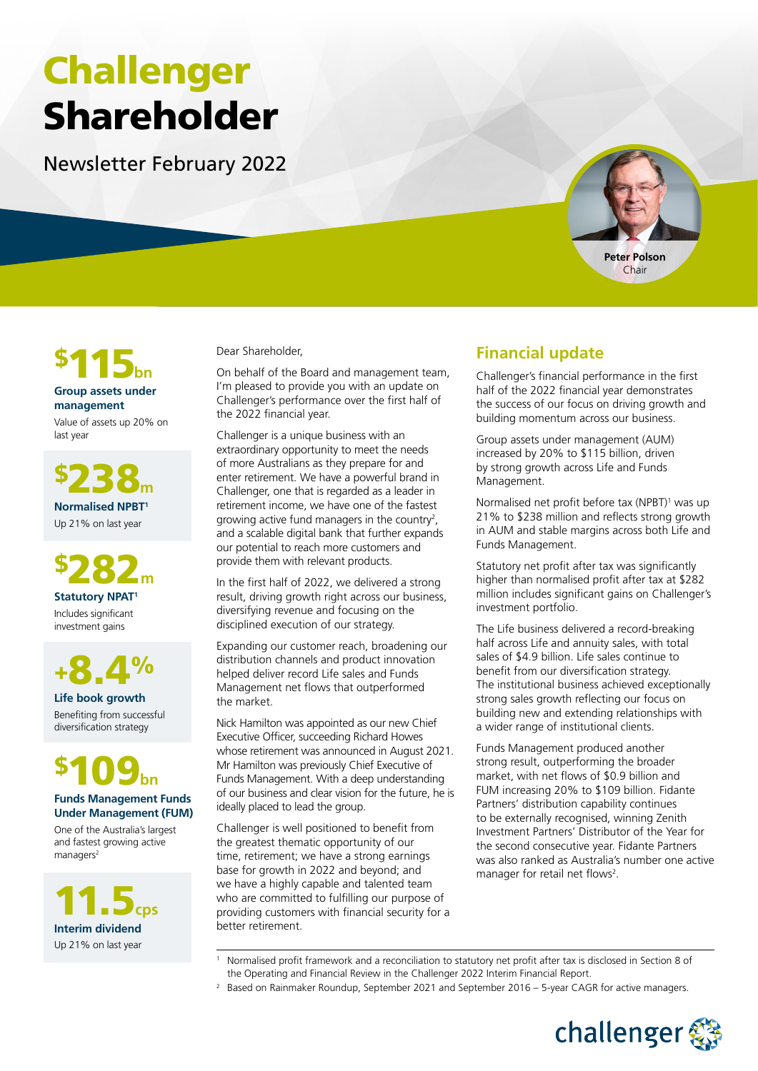# Challenger Shareholder

Newsletter February 2022





#### **Group assets under management**

Value of assets up 20% on last year

\$238**<sup>m</sup> Normalised NPBT1** Up 21% on last year

\$282**<sup>m</sup> Statutory NPAT1** Includes significant

investment gains



**Life book growth** Benefiting from successful diversification strategy



#### **Funds Management Funds Under Management (FUM)**

One of the Australia's largest and fastest growing active managers<sup>2</sup>

11.5**cps Interim dividend**  Up 21% on last year

Dear Shareholder,

On behalf of the Board and management team, I'm pleased to provide you with an update on Challenger's performance over the first half of the 2022 financial year.

Challenger is a unique business with an extraordinary opportunity to meet the needs of more Australians as they prepare for and enter retirement. We have a powerful brand in Challenger, one that is regarded as a leader in retirement income, we have one of the fastest growing active fund managers in the country<sup>2</sup>, and a scalable digital bank that further expands our potential to reach more customers and provide them with relevant products.

In the first half of 2022, we delivered a strong result, driving growth right across our business, diversifying revenue and focusing on the disciplined execution of our strategy.

Expanding our customer reach, broadening our distribution channels and product innovation helped deliver record Life sales and Funds Management net flows that outperformed the market.

Nick Hamilton was appointed as our new Chief Executive Officer, succeeding Richard Howes whose retirement was announced in August 2021. Mr Hamilton was previously Chief Executive of Funds Management. With a deep understanding of our business and clear vision for the future, he is ideally placed to lead the group.

Challenger is well positioned to benefit from the greatest thematic opportunity of our time, retirement; we have a strong earnings base for growth in 2022 and beyond; and we have a highly capable and talented team who are committed to fulfilling our purpose of providing customers with financial security for a better retirement.

# **Financial update**

Challenger's financial performance in the first half of the 2022 financial year demonstrates the success of our focus on driving growth and building momentum across our business.

Group assets under management (AUM) increased by 20% to \$115 billion, driven by strong growth across Life and Funds Management.

Normalised net profit before tax (NPBT)<sup>1</sup> was up 21% to \$238 million and reflects strong growth in AUM and stable margins across both Life and Funds Management.

Statutory net profit after tax was significantly higher than normalised profit after tax at \$282 million includes significant gains on Challenger's investment portfolio.

The Life business delivered a record-breaking half across Life and annuity sales, with total sales of \$4.9 billion. Life sales continue to benefit from our diversification strategy. The institutional business achieved exceptionally strong sales growth reflecting our focus on building new and extending relationships with a wider range of institutional clients.

Funds Management produced another strong result, outperforming the broader market, with net flows of \$0.9 billion and FUM increasing 20% to \$109 billion. Fidante Partners' distribution capability continues to be externally recognised, winning Zenith Investment Partners' Distributor of the Year for the second consecutive year. Fidante Partners was also ranked as Australia's number one active manager for retail net flows<sup>2</sup>.

- 1 Normalised profit framework and a reconciliation to statutory net profit after tax is disclosed in Section 8 of the Operating and Financial Review in the Challenger 2022 Interim Financial Report.
- <sup>2</sup> Based on Rainmaker Roundup, September 2021 and September 2016 5-year CAGR for active managers.